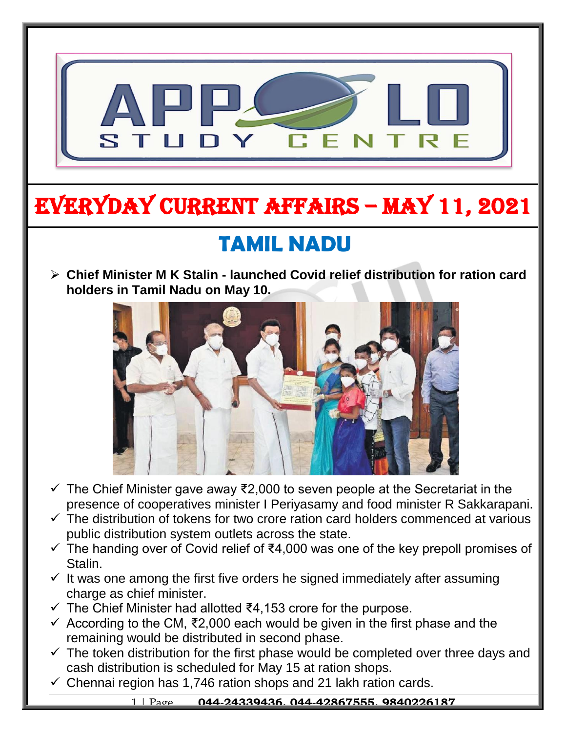

# EVERYDAY CURRENT AFFAIRS – MAY 11, 2021

## **TAMIL NADU**

-

 **Chief Minister M K Stalin - launched Covid relief distribution for ration card holders in Tamil Nadu on May 10.**



- $\checkmark$  The Chief Minister gave away ₹2,000 to seven people at the Secretariat in the presence of cooperatives minister I Periyasamy and food minister R Sakkarapani.
- $\checkmark$  The distribution of tokens for two crore ration card holders commenced at various public distribution system outlets across the state.
- $\checkmark$  The handing over of Covid relief of ₹4,000 was one of the key prepoll promises of Stalin.
- $\checkmark$  It was one among the first five orders he signed immediately after assuming charge as chief minister.
- $\checkmark$  The Chief Minister had allotted ₹4,153 crore for the purpose.
- $\checkmark$  According to the CM, ₹2,000 each would be given in the first phase and the remaining would be distributed in second phase.
- $\checkmark$  The token distribution for the first phase would be completed over three days and cash distribution is scheduled for May 15 at ration shops.
- $\checkmark$  Chennai region has 1,746 ration shops and 21 lakh ration cards.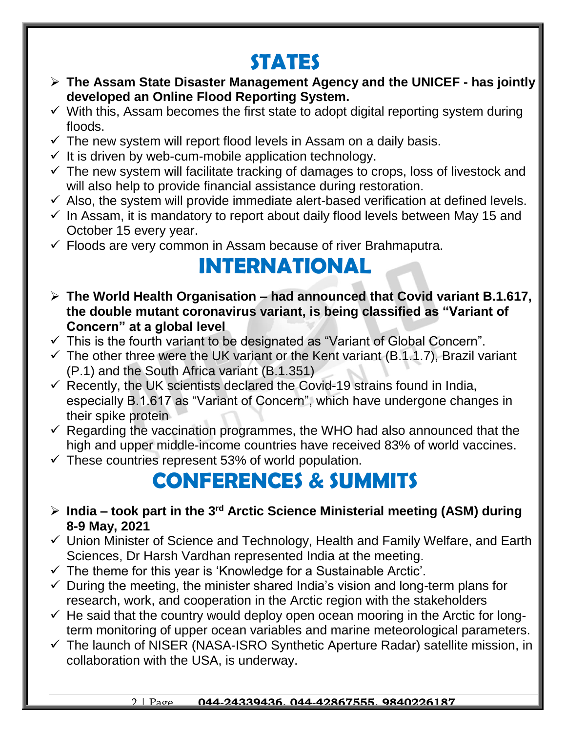### **STATES**

- **The Assam State Disaster Management Agency and the UNICEF - has jointly developed an Online Flood Reporting System.**
- $\checkmark$  With this, Assam becomes the first state to adopt digital reporting system during floods.
- $\checkmark$  The new system will report flood levels in Assam on a daily basis.
- $\checkmark$  It is driven by web-cum-mobile application technology.
- $\checkmark$  The new system will facilitate tracking of damages to crops, loss of livestock and will also help to provide financial assistance during restoration.
- $\checkmark$  Also, the system will provide immediate alert-based verification at defined levels.
- $\checkmark$  In Assam, it is mandatory to report about daily flood levels between May 15 and October 15 every year.
- $\checkmark$  Floods are very common in Assam because of river Brahmaputra.

### **INTERNATIONAL**

- **The World Health Organisation – had announced that Covid variant B.1.617, the double mutant coronavirus variant, is being classified as "Variant of Concern" at a global level**
- $\checkmark$  This is the fourth variant to be designated as "Variant of Global Concern".
- $\checkmark$  The other three were the UK variant or the Kent variant (B.1.1.7), Brazil variant (P.1) and the South Africa variant (B.1.351)
- $\checkmark$  Recently, the UK scientists declared the Covid-19 strains found in India, especially B.1.617 as "Variant of Concern", which have undergone changes in their spike protein
- $\checkmark$  Regarding the vaccination programmes, the WHO had also announced that the high and upper middle-income countries have received 83% of world vaccines.
- $\checkmark$  These countries represent 53% of world population.

## **CONFERENCES & SUMMITS**

- **India – took part in the 3rd Arctic Science Ministerial meeting (ASM) during 8-9 May, 2021**
- $\checkmark$  Union Minister of Science and Technology, Health and Family Welfare, and Earth Sciences, Dr Harsh Vardhan represented India at the meeting.
- $\checkmark$  The theme for this year is 'Knowledge for a Sustainable Arctic'.
- $\checkmark$  During the meeting, the minister shared India's vision and long-term plans for research, work, and cooperation in the Arctic region with the stakeholders
- $\checkmark$  He said that the country would deploy open ocean mooring in the Arctic for longterm monitoring of upper ocean variables and marine meteorological parameters.
- $\checkmark$  The launch of NISER (NASA-ISRO Synthetic Aperture Radar) satellite mission, in collaboration with the USA, is underway.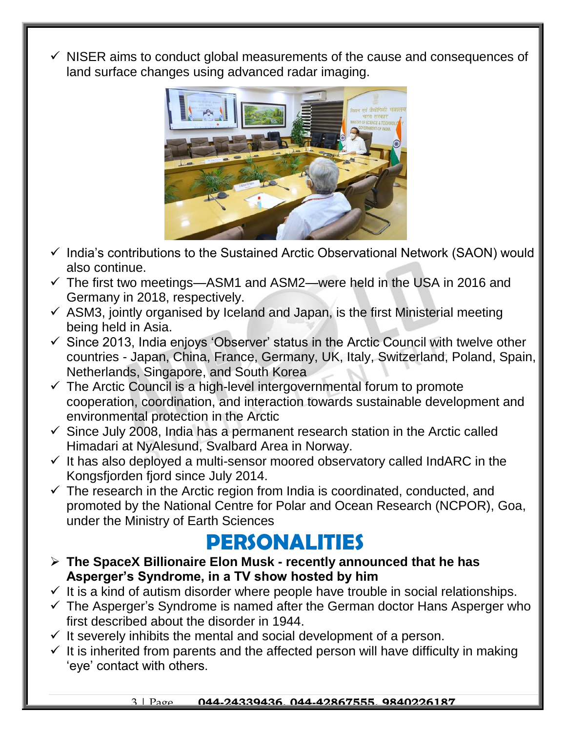$\checkmark$  NISER aims to conduct global measurements of the cause and consequences of land surface changes using advanced radar imaging.



- $\checkmark$  India's contributions to the Sustained Arctic Observational Network (SAON) would also continue.
- $\checkmark$  The first two meetings—ASM1 and ASM2—were held in the USA in 2016 and Germany in 2018, respectively.
- $\checkmark$  ASM3, jointly organised by Iceland and Japan, is the first Ministerial meeting being held in Asia.
- $\checkmark$  Since 2013, India enjoys 'Observer' status in the Arctic Council with twelve other countries - Japan, China, France, Germany, UK, Italy, Switzerland, Poland, Spain, Netherlands, Singapore, and South Korea
- $\checkmark$  The Arctic Council is a high-level intergovernmental forum to promote cooperation, coordination, and interaction towards sustainable development and environmental protection in the Arctic
- $\checkmark$  Since July 2008, India has a permanent research station in the Arctic called Himadari at NyAlesund, Svalbard Area in Norway.
- $\checkmark$  It has also deployed a multi-sensor moored observatory called IndARC in the Kongsfjorden fjord since July 2014.
- $\checkmark$  The research in the Arctic region from India is coordinated, conducted, and promoted by the National Centre for Polar and Ocean Research (NCPOR), Goa, under the Ministry of Earth Sciences

#### **PERSONALITIES**

- **The SpaceX Billionaire Elon Musk - recently announced that he has Asperger's Syndrome, in a TV show hosted by him**
- $\checkmark$  It is a kind of autism disorder where people have trouble in social relationships.
- $\checkmark$  The Asperger's Syndrome is named after the German doctor Hans Asperger who first described about the disorder in 1944.
- $\checkmark$  It severely inhibits the mental and social development of a person.
- $\checkmark$  It is inherited from parents and the affected person will have difficulty in making 'eye' contact with others.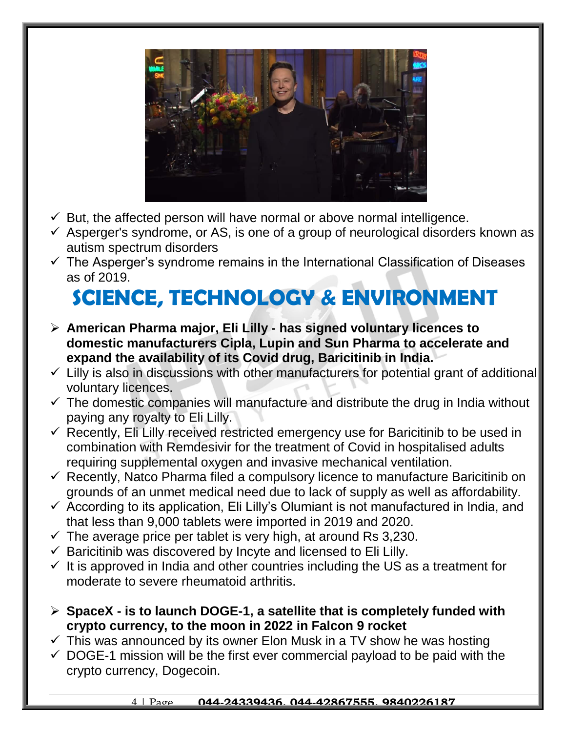

- $\checkmark$  But, the affected person will have normal or above normal intelligence.
- $\checkmark$  Asperger's syndrome, or AS, is one of a group of neurological disorders known as autism spectrum disorders
- $\checkmark$  The Asperger's syndrome remains in the International Classification of Diseases as of 2019.

# **SCIENCE, TECHNOLOGY & ENVIRONMENT**

- **American Pharma major, Eli Lilly - has signed voluntary licences to domestic manufacturers Cipla, Lupin and Sun Pharma to accelerate and expand the availability of its Covid drug, Baricitinib in India.**
- $\checkmark$  Lilly is also in discussions with other manufacturers for potential grant of additional voluntary licences.
- $\checkmark$  The domestic companies will manufacture and distribute the drug in India without paying any royalty to Eli Lilly.
- $\checkmark$  Recently, Eli Lilly received restricted emergency use for Baricitinib to be used in combination with Remdesivir for the treatment of Covid in hospitalised adults requiring supplemental oxygen and invasive mechanical ventilation.
- $\checkmark$  Recently, Natco Pharma filed a compulsory licence to manufacture Baricitinib on grounds of an unmet medical need due to lack of supply as well as affordability.
- $\checkmark$  According to its application, Eli Lilly's Olumiant is not manufactured in India, and that less than 9,000 tablets were imported in 2019 and 2020.
- $\checkmark$  The average price per tablet is very high, at around Rs 3,230.
- $\checkmark$  Baricitinib was discovered by Incyte and licensed to Eli Lilly.
- $\checkmark$  It is approved in India and other countries including the US as a treatment for moderate to severe rheumatoid arthritis.
- **SpaceX - is to launch DOGE-1, a satellite that is completely funded with crypto currency, to the moon in 2022 in Falcon 9 rocket**
- $\checkmark$  This was announced by its owner Elon Musk in a TV show he was hosting
- $\checkmark$  DOGE-1 mission will be the first ever commercial payload to be paid with the crypto currency, Dogecoin.

#### 4 | Page **044-24339436, 044-42867555, 9840226187**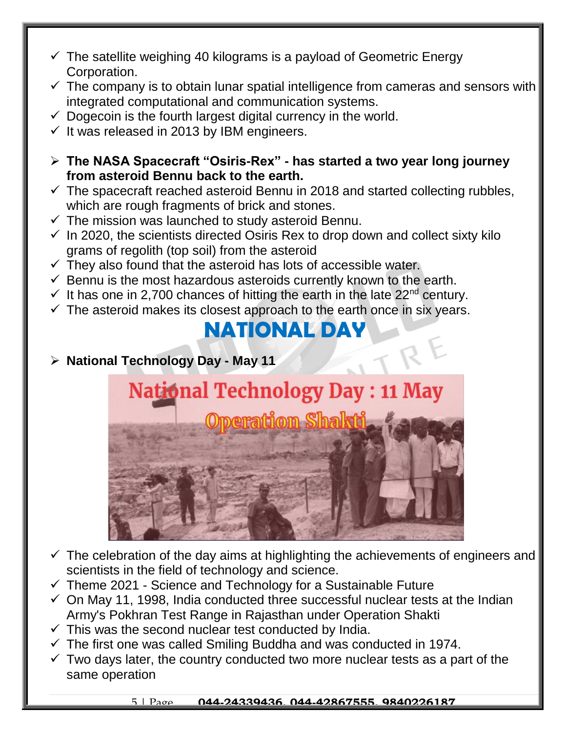- $\checkmark$  The satellite weighing 40 kilograms is a payload of Geometric Energy Corporation.
- $\checkmark$  The company is to obtain lunar spatial intelligence from cameras and sensors with integrated computational and communication systems.
- $\checkmark$  Dogecoin is the fourth largest digital currency in the world.
- $\checkmark$  It was released in 2013 by IBM engineers.
- **The NASA Spacecraft "Osiris-Rex" - has started a two year long journey from asteroid Bennu back to the earth.**
- $\checkmark$  The spacecraft reached asteroid Bennu in 2018 and started collecting rubbles, which are rough fragments of brick and stones.
- $\checkmark$  The mission was launched to study asteroid Bennu.
- $\checkmark$  In 2020, the scientists directed Osiris Rex to drop down and collect sixty kilo grams of regolith (top soil) from the asteroid
- $\checkmark$  They also found that the asteroid has lots of accessible water.
- $\checkmark$  Bennu is the most hazardous asteroids currently known to the earth.
- $\checkmark$  It has one in 2,700 chances of hitting the earth in the late 22<sup>nd</sup> century.
- $\checkmark$  The asteroid makes its closest approach to the earth once in six years.

#### **NATIONAL DAY**

**National Technology Day - May 11**



- $\checkmark$  The celebration of the day aims at highlighting the achievements of engineers and scientists in the field of technology and science.
- $\checkmark$  Theme 2021 Science and Technology for a Sustainable Future
- $\checkmark$  On May 11, 1998, India conducted three successful nuclear tests at the Indian Army's Pokhran Test Range in Rajasthan under Operation Shakti
- $\checkmark$  This was the second nuclear test conducted by India.
- $\checkmark$  The first one was called Smiling Buddha and was conducted in 1974.
- $\checkmark$  Two days later, the country conducted two more nuclear tests as a part of the same operation